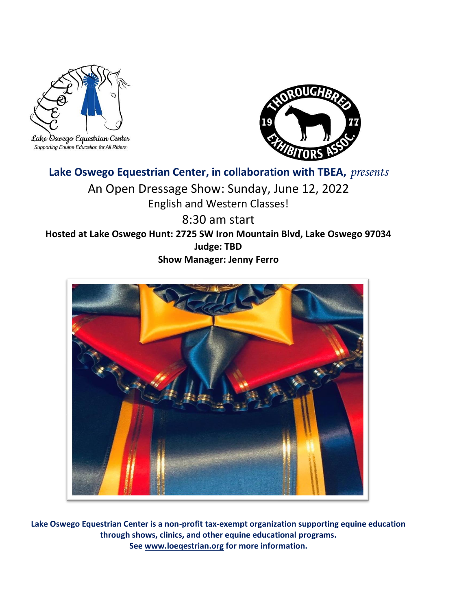

Supporting Equine Education for All Riders



## **Lake Oswego Equestrian Center, in collaboration with TBEA,** *presents*

An Open Dressage Show: Sunday, June 12, 2022 English and Western Classes!

8:30 am start **Hosted at Lake Oswego Hunt: 2725 SW Iron Mountain Blvd, Lake Oswego 97034 Judge: TBD Show Manager: Jenny Ferro** 



**Lake Oswego Equestrian Center is a non-profit tax-exempt organization supporting equine education through shows, clinics, and other equine educational programs. Se[e www.loeqestrian.org](http://www.loeqestrian.org/) for more information.**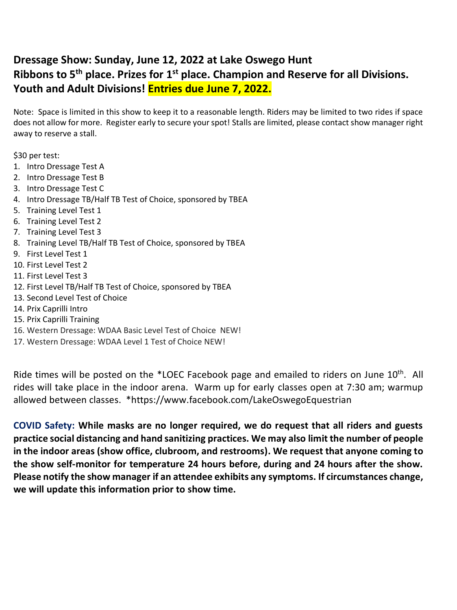#### **Dressage Show: Sunday, June 12, 2022 at Lake Oswego Hunt Ribbons to 5th place. Prizes for 1 st place. Champion and Reserve for all Divisions. Youth and Adult Divisions! Entries due June 7, 2022.**

Note: Space is limited in this show to keep it to a reasonable length. Riders may be limited to two rides if space does not allow for more. Register early to secure your spot! Stalls are limited, please contact show manager right away to reserve a stall.

\$30 per test:

- 1. Intro Dressage Test A
- 2. Intro Dressage Test B
- 3. Intro Dressage Test C
- 4. Intro Dressage TB/Half TB Test of Choice, sponsored by TBEA
- 5. Training Level Test 1
- 6. Training Level Test 2
- 7. Training Level Test 3
- 8. Training Level TB/Half TB Test of Choice, sponsored by TBEA
- 9. First Level Test 1
- 10. First Level Test 2
- 11. First Level Test 3
- 12. First Level TB/Half TB Test of Choice, sponsored by TBEA
- 13. Second Level Test of Choice
- 14. Prix Caprilli Intro
- 15. Prix Caprilli Training
- 16. Western Dressage: WDAA Basic Level Test of Choice NEW!
- 17. Western Dressage: WDAA Level 1 Test of Choice NEW!

Ride times will be posted on the \*LOEC Facebook page and emailed to riders on June 10<sup>th</sup>. All rides will take place in the indoor arena. Warm up for early classes open at 7:30 am; warmup allowed between classes. \*https://www.facebook.com/LakeOswegoEquestrian

**COVID Safety: While masks are no longer required, we do request that all riders and guests practice social distancing and hand sanitizing practices. We may also limit the number of people in the indoor areas (show office, clubroom, and restrooms). We request that anyone coming to the show self-monitor for temperature 24 hours before, during and 24 hours after the show. Please notify the show manager if an attendee exhibits any symptoms. If circumstances change, we will update this information prior to show time.**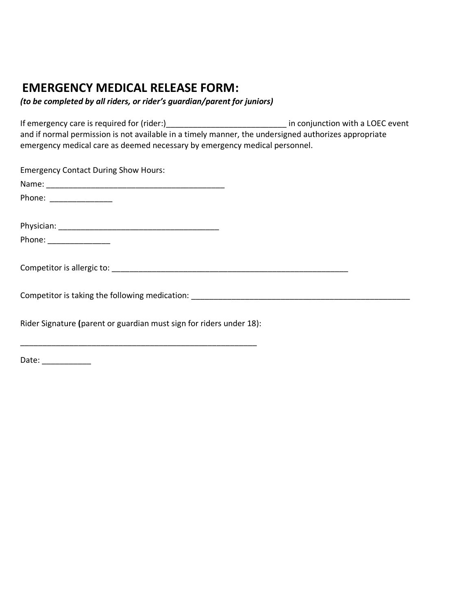### **EMERGENCY MEDICAL RELEASE FORM:**

*(to be completed by all riders, or rider's guardian/parent for juniors)*

\_\_\_\_\_\_\_\_\_\_\_\_\_\_\_\_\_\_\_\_\_\_\_\_\_\_\_\_\_\_\_\_\_\_\_\_\_\_\_\_\_\_\_\_\_\_\_\_\_\_\_\_\_

If emergency care is required for (rider:) let under the same in conjunction with a LOEC event and if normal permission is not available in a timely manner, the undersigned authorizes appropriate emergency medical care as deemed necessary by emergency medical personnel.

| <b>Emergency Contact During Show Hours:</b>                                       |  |
|-----------------------------------------------------------------------------------|--|
|                                                                                   |  |
| Phone: ________________                                                           |  |
|                                                                                   |  |
|                                                                                   |  |
|                                                                                   |  |
|                                                                                   |  |
|                                                                                   |  |
| Competitor is taking the following medication: __________________________________ |  |
|                                                                                   |  |
| Rider Signature (parent or guardian must sign for riders under 18):               |  |

Date: \_\_\_\_\_\_\_\_\_\_\_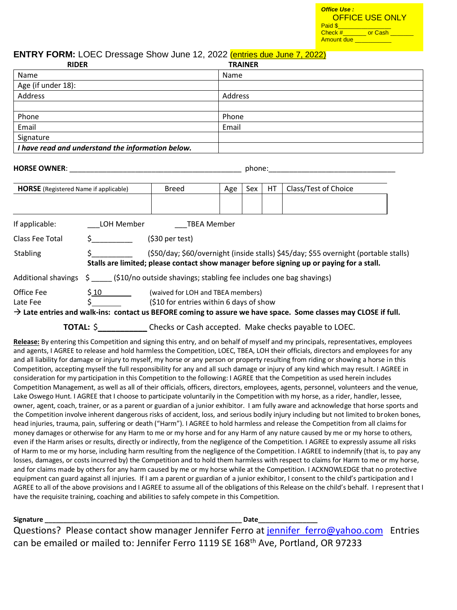| <b>Office Use:</b><br>Paid \$ | <u>OFFICE USE ONLY</u> |
|-------------------------------|------------------------|
| $Check \#$<br>Amount due      | or Cash                |

#### **ENTRY FORM: LOEC Dressage Show June 12, 2022 (entries due June 7, 2022)** Due: \$\_\_\_\_\_\_\_\_\_ **RIDER**

| <b>RIDER</b>                                      | <b>TRAINER</b> |
|---------------------------------------------------|----------------|
| Name                                              | Name           |
| Age (if under 18):                                |                |
| Address                                           | Address        |
|                                                   |                |
| Phone                                             | Phone          |
| Email                                             | Email          |
| Signature                                         |                |
| I have read and understand the information below. |                |

| <b>HORSE OWNER:</b>                                                 |            |                                                                                                                                                                                  |     | phone: |                      |                                                                                                                            |  |
|---------------------------------------------------------------------|------------|----------------------------------------------------------------------------------------------------------------------------------------------------------------------------------|-----|--------|----------------------|----------------------------------------------------------------------------------------------------------------------------|--|
| <b>Breed</b><br><b>HORSE</b> (Registered Name if applicable)<br>Age |            |                                                                                                                                                                                  | Sex | НT     | Class/Test of Choice |                                                                                                                            |  |
|                                                                     |            |                                                                                                                                                                                  |     |        |                      |                                                                                                                            |  |
| If applicable:                                                      | LOH Member | TBEA Member                                                                                                                                                                      |     |        |                      |                                                                                                                            |  |
| Class Fee Total                                                     |            | $(530 \text{ per test})$                                                                                                                                                         |     |        |                      |                                                                                                                            |  |
| <b>Stabling</b>                                                     |            | (\$50/day; \$60/overnight (inside stalls) \$45/day; \$55 overnight (portable stalls)<br>Stalls are limited; please contact show manager before signing up or paying for a stall. |     |        |                      |                                                                                                                            |  |
|                                                                     |            | Additional shavings $\sin(510/n)$ outside shavings; stabling fee includes one bag shavings)                                                                                      |     |        |                      |                                                                                                                            |  |
| Office Fee<br>Late Fee                                              | \$10       | (waived for LOH and TBEA members)<br>(\$10 for entries within 6 days of show                                                                                                     |     |        |                      | $\rightarrow$ Late entries and walk-ins: contact us BEFORE coming to assure we have space. Some classes may CLOSE if full. |  |
|                                                                     | TOTAL: \$  |                                                                                                                                                                                  |     |        |                      | Checks or Cash accepted. Make checks payable to LOEC.                                                                      |  |

**Release:** By entering this Competition and signing this entry, and on behalf of myself and my principals, representatives, employees and agents, I AGREE to release and hold harmless the Competition, LOEC, TBEA, LOH their officials, directors and employees for any and all liability for damage or injury to myself, my horse or any person or property resulting from riding or showing a horse in this Competition, accepting myself the full responsibility for any and all such damage or injury of any kind which may result. I AGREE in consideration for my participation in this Competition to the following: I AGREE that the Competition as used herein includes Competition Management, as well as all of their officials, officers, directors, employees, agents, personnel, volunteers and the venue, Lake Oswego Hunt. I AGREE that I choose to participate voluntarily in the Competition with my horse, as a rider, handler, lessee, owner, agent, coach, trainer, or as a parent or guardian of a junior exhibitor. I am fully aware and acknowledge that horse sports and the Competition involve inherent dangerous risks of accident, loss, and serious bodily injury including but not limited to broken bones, head injuries, trauma, pain, suffering or death ("Harm"). I AGREE to hold harmless and release the Competition from all claims for money damages or otherwise for any Harm to me or my horse and for any Harm of any nature caused by me or my horse to others, even if the Harm arises or results, directly or indirectly, from the negligence of the Competition. I AGREE to expressly assume all risks of Harm to me or my horse, including harm resulting from the negligence of the Competition. I AGREE to indemnify (that is, to pay any losses, damages, or costs incurred by) the Competition and to hold them harmless with respect to claims for Harm to me or my horse, and for claims made by others for any harm caused by me or my horse while at the Competition. I ACKNOWLEDGE that no protective equipment can guard against all injuries. If I am a parent or guardian of a junior exhibitor, I consent to the child's participation and I AGREE to all of the above provisions and I AGREE to assume all of the obligations of this Release on the child's behalf. I represent that I have the requisite training, coaching and abilities to safely compete in this Competition.

**Signature \_\_\_\_\_\_\_\_\_\_\_\_\_\_\_\_\_\_\_\_\_\_\_\_\_\_\_\_\_\_\_\_\_\_\_\_\_\_\_\_\_\_\_\_\_\_\_\_\_\_\_\_\_ Date\_\_\_\_\_\_\_\_\_\_\_\_\_\_\_\_**

Questions? Please contact show manager Jennifer Ferro at jennifer ferro@yahoo.com Entries can be emailed or mailed to: Jennifer Ferro 1119 SE 168<sup>th</sup> Ave, Portland, OR 97233